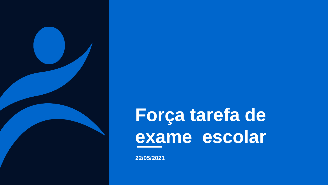

**22/05/2021**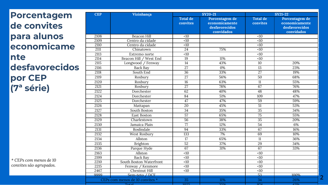**Porcentagem de convites para alunos economicame nte desfavorecidos por CEP (7ª série)**

| <b>CEP</b>        | <b>Vizinhanca</b>               |                             | <b>SY20-21</b>                                                   |                             | <b>SY21-22</b>                                                   |  |  |  |
|-------------------|---------------------------------|-----------------------------|------------------------------------------------------------------|-----------------------------|------------------------------------------------------------------|--|--|--|
|                   |                                 | <b>Total de</b><br>convites | Porcentagem de<br>economicamente<br>desfavorecidos<br>convidados | <b>Total de</b><br>convites | Porcentagem de<br>economicamente<br>desfavorecidos<br>convidados |  |  |  |
| 2108              | <b>Beacon Hill</b>              | $\overline{10}$             |                                                                  | <10                         |                                                                  |  |  |  |
| 2109              | Centro da cidade                | $\overline{10}$             |                                                                  | $\overline{10}$             |                                                                  |  |  |  |
| $\overline{2110}$ | Centro da cidade                | $\leq 10$                   |                                                                  | $\overline{<}10$            |                                                                  |  |  |  |
| 2111              | Chinatown                       | $\overline{24}$             | 75%                                                              | $\overline{10}$             |                                                                  |  |  |  |
| 2113              | Extremo norte                   | $\overline{10}$             |                                                                  | $\overline{<}10$            |                                                                  |  |  |  |
| 2114              | Beacon Hill / West End          | 19                          | 11%                                                              | $\overline{<}10$            |                                                                  |  |  |  |
| 2115              | Longwood / Fenway               | 14                          | 43%                                                              | 10                          | 20%                                                              |  |  |  |
| 2116              | <b>Back Bay</b>                 | $\overline{27}$             | 0%                                                               | $\overline{13}$             | 23%                                                              |  |  |  |
| 2118              | South End                       | 36                          | 33%                                                              | $\overline{27}$             | 19%                                                              |  |  |  |
| 2119              | Roxbury                         | $\overline{27}$             | 56%                                                              | 50                          | 68%                                                              |  |  |  |
| 2120              | Roxbury                         | $\overline{16}$             | 63%                                                              | $\overline{11}$             | 55%                                                              |  |  |  |
| 2121              | Roxbury                         | 27                          | 78%                                                              | 67                          | 76%                                                              |  |  |  |
| 2122              | Dorchester                      | 62                          | 40%                                                              | 48                          | 48%                                                              |  |  |  |
| 2124              | Dorchester                      | 84                          | 51%                                                              | 109                         | 47%                                                              |  |  |  |
| 2125              | Dorchester                      | 47                          | 47%                                                              | 59                          | 59%                                                              |  |  |  |
| 2126              | Mattapan                        | 20                          | 45%                                                              | $\overline{51}$             | 53%                                                              |  |  |  |
| 2127              | South Boston                    | 34                          | 35%                                                              | 35                          | 34%                                                              |  |  |  |
| 2128              | <b>East Boston</b>              | 57                          | 65%                                                              | $\overline{75}$             | 55%                                                              |  |  |  |
| 2129              | Charlestown                     | 56                          | 38%                                                              | 35                          | 20%                                                              |  |  |  |
| 2130              | Jamaica Plain                   | $\overline{77}$             | 12%                                                              | $\overline{54}$             | 6%                                                               |  |  |  |
| 2131              | Roslindale                      | 94                          | 33%                                                              | 67                          | 16%                                                              |  |  |  |
| 2132              | West Roxbury                    | 133                         | 7%                                                               | 69                          | 10%                                                              |  |  |  |
| 2134              | Allston                         | 17                          | 65%                                                              | $\overline{11}$             | 36%                                                              |  |  |  |
| 2135              | Brighton                        | 52                          | 37%                                                              | $\overline{29}$             | 34%                                                              |  |  |  |
| 2136              | Parque Hyde                     | 67                          | 31%                                                              | 67                          | 33%                                                              |  |  |  |
| 2163              | Allston                         | $\overline{10}$             |                                                                  | <10                         |                                                                  |  |  |  |
| 2199              | <b>Back Bay</b>                 | $\overline{10}$             |                                                                  | <10                         |                                                                  |  |  |  |
| 2210              | <b>South Boston Waterfront</b>  | $\overline{10}$             |                                                                  | $\overline{10}$             |                                                                  |  |  |  |
| 2215              | Fenway / Kenmore                | <10                         |                                                                  | <10                         |                                                                  |  |  |  |
| 2467              | <b>Chestnut Hill</b>            | $\overline{10}$             |                                                                  | <10                         |                                                                  |  |  |  |
| 9999              | Sem-teto / DCF                  |                             |                                                                  | $\overline{53}$             | 100%                                                             |  |  |  |
|                   | CEPs com menos de 10 convites * | 35                          | 11%                                                              | 34                          | 26%                                                              |  |  |  |
|                   | Total                           | 1025                        | 250Z                                                             | Q7A                         | A20Z                                                             |  |  |  |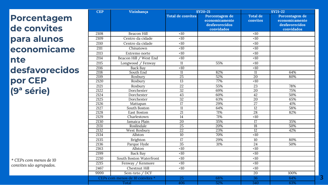**Porcentagem de convites para alunos economicame nte desfavorecidos por CEP (9ª série)**

*\* CEPs com menos de 10 convites são agrupados.*

| Vizinhança<br><b>CEP</b> |                                 |                          | <b>SY20-21</b>                                                   | <b>SY21-22</b>              |                                                                  |  |  |
|--------------------------|---------------------------------|--------------------------|------------------------------------------------------------------|-----------------------------|------------------------------------------------------------------|--|--|
|                          |                                 | <b>Total de convites</b> | Porcentagem de<br>economicamente<br>desfavorecidos<br>convidados | <b>Total de</b><br>convites | Porcentagem de<br>economicamente<br>desfavorecidos<br>convidados |  |  |
| 2108                     | <b>Beacon Hill</b>              | <10                      |                                                                  | <10                         |                                                                  |  |  |
| 2109                     | Centro da cidade                | $\overline{5}$           |                                                                  | $\overline{10}$             |                                                                  |  |  |
| 2110                     | Centro da cidade                | $\overline{50}$          |                                                                  | $\overline{10}$             |                                                                  |  |  |
| 2111                     | Chinatown                       | $\overline{10}$          |                                                                  | $\overline{10}$             |                                                                  |  |  |
| 2113                     | Extremo norte                   | $\overline{10}$          |                                                                  | $\overline{10}$             |                                                                  |  |  |
| 2114                     | Beacon Hill / West End          | $\overline{10}$          |                                                                  | $\overline{10}$             |                                                                  |  |  |
| 2115                     | Longwood / Fenway               | 11                       | 55%                                                              | <10                         |                                                                  |  |  |
| 2116                     | <b>Back Bay</b>                 | <10                      |                                                                  | <10                         |                                                                  |  |  |
| 2118                     | South End                       | $\overline{11}$          | 82%                                                              | $\overline{11}$             | 64%                                                              |  |  |
| 2119                     | Roxbury                         | $\overline{25}$          | 52%                                                              | $\overline{20}$             | 80%                                                              |  |  |
| 2120                     | Roxbury                         | $\overline{13}$          | 77%                                                              | $\overline{10}$             |                                                                  |  |  |
| 2121                     | Roxbury                         | 22                       | 55%                                                              | 23                          | 78%                                                              |  |  |
| 2122                     | Dorchester                      | $\overline{32}$          | 69%                                                              | 20                          | 75%                                                              |  |  |
| 2124                     | Dorchester                      | 43                       | 60%                                                              | $\overline{42}$             | 50%                                                              |  |  |
| 2125                     | Dorchester                      | $\overline{32}$          | 63%                                                              | $\overline{20}$             | 65%                                                              |  |  |
| 2126                     | Mattapan                        | $\overline{17}$          | 29%                                                              | $\overline{27}$             | 41%                                                              |  |  |
| 2127                     | South Boston                    | $\overline{11}$          | 64%                                                              | $\overline{12}$             | 58%                                                              |  |  |
| 2128                     | East Boston                     | $\overline{21}$          | 71%                                                              | 28                          | 82%                                                              |  |  |
| 2129                     | Charlestown                     | 14                       | 71%                                                              | $\overline{10}$             |                                                                  |  |  |
| 2130                     | Jamaica Plain                   | $\overline{20}$          | 35%                                                              | $\overline{17}$             | 35%                                                              |  |  |
| 2131                     | Roslindale                      | $\overline{25}$          | 20%                                                              | $\overline{18}$             | 50%                                                              |  |  |
| 2132                     | West Roxbury                    | $\overline{22}$          | 23%                                                              | $\overline{12}$             | 42%                                                              |  |  |
| 2134                     | Allston                         | 10                       | 70%                                                              | $\overline{10}$             |                                                                  |  |  |
| 2135                     | Brighton                        | 17                       | 29%                                                              | 10                          | 80%                                                              |  |  |
| 2136                     | Parque Hyde                     | $\overline{35}$          | 31%                                                              | $\overline{24}$             | 50%                                                              |  |  |
| 2163                     | Allston                         | <10                      |                                                                  | <10                         |                                                                  |  |  |
| 2199                     | <b>Back Bay</b>                 | $\overline{10}$          |                                                                  | <10                         |                                                                  |  |  |
| 2210                     | South Boston Waterfront         | <10                      |                                                                  | <10                         |                                                                  |  |  |
| 2215                     | Fenway / Kenmore                | $\overline{10}$          |                                                                  | $\overline{10}$             |                                                                  |  |  |
| 2467                     | Chestnut Hill                   | <10                      |                                                                  | <10                         |                                                                  |  |  |
| 9999                     | Sem-teto / DCF                  |                          |                                                                  | 20                          | 100%                                                             |  |  |
|                          | CEPs com menos de 10 convites * | 25                       | 68%                                                              | 36                          | 64%                                                              |  |  |
|                          | Total                           | 406                      | 52%                                                              | 340                         | 63%                                                              |  |  |

**3**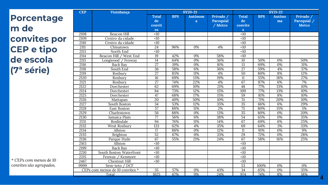| <b>Porcentage</b>      |
|------------------------|
| m de                   |
| convites por           |
| <b>CEP e tipo</b>      |
| de escola              |
| (7 <sup>ª</sup> série) |

| <b>CEP</b> | Vizinhança                      | <b>SY20-21</b>                     |            |                     |                                          | <b>SY21-22</b>                                |            |                     |                                          |  |
|------------|---------------------------------|------------------------------------|------------|---------------------|------------------------------------------|-----------------------------------------------|------------|---------------------|------------------------------------------|--|
|            |                                 | <b>Total</b><br>de<br>convit<br>es | <b>BPS</b> | <b>Autônom</b><br>a | Privado /<br><b>Paroquial</b><br>/ Metco | <b>Total</b><br>de<br>convite<br>$\mathbf{s}$ | <b>BPS</b> | <b>Autôno</b><br>ma | Privado /<br>Paroquial /<br><b>Metco</b> |  |
| 2108       | <b>Beacon Hill</b>              | <10                                |            |                     |                                          | <10                                           |            |                     |                                          |  |
| 2109       | Centro da cidade                | $\overline{50}$                    |            |                     |                                          | $\overline{10}$                               |            |                     |                                          |  |
| 2110       | Centro da cidade                | $\overline{10}$                    |            |                     |                                          | $\overline{10}$                               |            |                     |                                          |  |
| 2111       | Chinatown                       | 24                                 | 96%        | 0%                  | 4%                                       | $\overline{10}$                               |            |                     |                                          |  |
| 2113       | North End                       | $\overline{50}$                    |            |                     |                                          | $\overline{10}$                               |            |                     |                                          |  |
| 2114       | Beacon Hill / West End          | $\overline{19}$                    | 42%        | 0%                  | 58%                                      | $\overline{<}10$                              |            |                     |                                          |  |
| 2115       | Longwood / Fenway               | $\overline{14}$                    | 64%        | $\overline{0\%}$    | 36%                                      | 10                                            | 50%        | 0%                  | 50%                                      |  |
| 2116       | Back Bay                        | $\overline{27}$                    | 19%        | 0%                  | 81%                                      | $\overline{13}$                               | 69%        | 0%                  | 31%                                      |  |
| 2118       | South End                       | $\overline{36}$                    | 58%        | 6%                  | 36%                                      | $\overline{27}$                               | 59%        | 4%                  | 37%                                      |  |
| 2119       | Roxbury                         | $\overline{27}$                    | 85%        | 11%                 | 4%                                       | $\overline{50}$                               | 80%        | 8%                  | 12%                                      |  |
| 2120       | Roxbury                         | 16                                 | 69%        | 13%                 | 19%                                      | 11                                            | 55%        | 18%                 | 27%                                      |  |
| 2121       | Roxbury                         | $\overline{27}$                    | 74%        | 22%                 | 4%                                       | 67                                            | 87%        | 6%                  | 7%                                       |  |
| 2122       | Dorchester                      | 62                                 | 69%        | 10%                 | 21%                                      | $\overline{48}$                               | 77%        | 13%                 | 10%                                      |  |
| 2124       | Dorchester                      | 84                                 | 73%        | 12%                 | 15%                                      | 109                                           | 77%        | 13%                 | 10%                                      |  |
| 2125       | Dorchester                      | 47                                 | 68%        | 17%                 | 15%                                      | $\overline{59}$                               | 81%        | 8%                  | 10%                                      |  |
| 2126       | Mattapan                        | 20                                 | 40%        | 50%                 | 10%                                      | 51                                            | 71%        | 20%                 | 10%                                      |  |
| 2127       | South Boston                    | 34                                 | 53%        | 12%                 | 35%                                      | 35                                            | 66%        | 6%                  | 29%                                      |  |
| 2128       | East Boston                     | $\overline{57}$                    | 88%        | 11%                 | 2%                                       | $\overline{75}$                               | 80%        | 15%                 | 5%                                       |  |
| 2129       | Charlestown                     | 56                                 | 88%        | 0%                  | 13%                                      | $\overline{35}$                               | 80%        | 0%                  | 20%                                      |  |
| 2130       | Jamaica Plain                   | $\overline{77}$                    | 56%        | 6%                  | 38%                                      | 54                                            | 65%        | 0%                  | 35%                                      |  |
| 2131       | Roslindale                      | 94                                 | 76%        | 11%                 | 14%                                      | 67                                            | 69%        | 6%                  | 25%                                      |  |
| 2132       | West Roxbury                    | 133                                | 62%        | 4%                  | 35%                                      | 69                                            | 64%        | 3%                  | 33%                                      |  |
| 2134       | Allston                         | $\overline{17}$                    | 88%        | $\overline{0\%}$    | 12%                                      | $\overline{11}$                               | 91%        | 0%                  | 9%                                       |  |
| 2135       | Brighton                        | 52                                 | 67%        | 0%                  | 33%                                      | 29                                            | 72%        | 0%                  | 28%                                      |  |
| 2136       | Parque Hyde                     | 67                                 | 55%        | 21%                 | 24%                                      | 67                                            | 58%        | 16%                 | 25%                                      |  |
| 2163       | Allston                         | $\overline{50}$                    |            |                     |                                          | <10                                           |            |                     |                                          |  |
| 2199       | <b>Back Bay</b>                 | <10                                |            |                     |                                          | <10                                           |            |                     |                                          |  |
| 2210       | South Boston Waterfront         | $\overline{50}$                    |            |                     |                                          | <10                                           |            |                     |                                          |  |
| 2215       | Fenway / Kenmore                | $\overline{50}$                    |            |                     |                                          | <10                                           |            |                     |                                          |  |
| 2467       | Chestnut Hill                   | <10                                |            |                     |                                          | <10                                           |            |                     |                                          |  |
| 9999       | Sem-teto / DCF                  |                                    |            |                     |                                          | $\overline{53}$                               | 100%       | 0%                  | 0%                                       |  |
|            | CEPs com menos de 10 convites * | 35                                 | 57%        | 0%                  | 43%                                      | 34                                            | 65%        | 0%                  | 35%                                      |  |
|            | Total                           | 1025                               | 67%        | 9%                  | 24%                                      | 974                                           | 74%        | 8%                  | 18%                                      |  |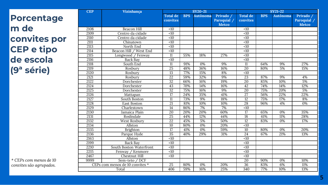**Porcentage m de convites por CEP e tipo de escola (9ª série)**

| * CEPs com menos de 10  |  |
|-------------------------|--|
| convites são agrupados. |  |

| <b>CEP</b> | Vizinhanca                      | <b>SY20-21</b>              |            |          |                                          | <b>SY21-22</b>              |            |                 |                                          |  |
|------------|---------------------------------|-----------------------------|------------|----------|------------------------------------------|-----------------------------|------------|-----------------|------------------------------------------|--|
|            |                                 | <b>Total de</b><br>convites | <b>BPS</b> | Autônoma | Privado /<br>Paroquial /<br><b>Metco</b> | <b>Total de</b><br>convites | <b>BPS</b> | <b>Autônoma</b> | Privado /<br>Paroquial /<br><b>Metco</b> |  |
| 2108       | Beacon Hill                     | <10                         |            |          |                                          | <10                         |            |                 |                                          |  |
| 2109       | Centro da cidade                | $\overline{10}$             |            |          |                                          | $\overline{<}10$            |            |                 |                                          |  |
| 2110       | Centro da cidade                | <10                         |            |          |                                          | <10                         |            |                 |                                          |  |
| 2111       | Chinatown                       | $\overline{10}$             |            |          |                                          | $\overline{50}$             |            |                 |                                          |  |
| 2113       | North End                       | <10                         |            |          |                                          | <10                         |            |                 |                                          |  |
| 2114       | Beacon Hill / West End          | <10                         |            |          |                                          | <10                         |            |                 |                                          |  |
| 2115       | Longwood / Fenway               | 11                          | 55%        | 18%      | 27%                                      | <10                         |            |                 |                                          |  |
| 2116       | <b>Back Bay</b>                 | <10                         |            |          |                                          | <10                         |            |                 |                                          |  |
| 2118       | South End                       | 11                          | 91%        | 0%       | 9%                                       | 11                          | 64%        | 9%              | 27%                                      |  |
| 2119       | Roxbury                         | $\overline{25}$             | 48%        | 36%      | 16%                                      | 20                          | 80%        | 5%              | 15%                                      |  |
| 2120       | Roxbury                         | 13                          | 77%        | 15%      | 8%                                       | <10                         |            |                 |                                          |  |
| 2121       | Roxbury                         | $\overline{22}$             | 59%        | 32%      | 9%                                       | $\overline{23}$             | 87%        | 9%              | 4%                                       |  |
| 2122       | Dorchester                      | $\overline{32}$             | 66%        | 16%      | 19%                                      | 20                          | 85%        | 10%             | 5%                                       |  |
| 2124       | Dorchester                      | $\overline{43}$             | 70%        | 14%      | 16%                                      | $\overline{42}$             | 74%        | 14%             | 12%                                      |  |
| 2125       | Dorchester                      | $\overline{32}$             | 75%        | 16%      | 9%                                       | $\overline{20}$             | 75%        | 20%             | 5%                                       |  |
| 2126       | Mattapan                        | $\overline{17}$             | 24%        | 35%      | 41%                                      | $\overline{27}$             | 56%        | 22%             | 22%                                      |  |
| 2127       | South Boston                    | $\overline{11}$             | 73%        | 9%       | 18%                                      | $\overline{12}$             | 75%        | 17%             | 8%                                       |  |
| 2128       | East Boston                     | 21                          | 81%        | 10%      | 10%                                      | $\overline{28}$             | 96%        | 4%              | $\overline{0\%}$                         |  |
| 2129       | Charlestown                     | 14                          | 86%        | 7%       | 7%                                       | <10                         |            |                 |                                          |  |
| 2130       | Jamaica Plain                   | $\overline{20}$             | 20%        | 20%      | 60%                                      | 17                          | 65%        | 0%              | 35%                                      |  |
| 2131       | Roslindale                      | 25                          | 44%        | 12%      | 44%                                      | $\overline{18}$             | 61%        | 11%             | 28%                                      |  |
| 2132       | West Roxbury                    | $\overline{22}$             | 45%        | 5%       | 50%                                      | 12                          | 83%        | 0%              | 17%                                      |  |
| 2134       | Allston                         | 10                          | 80%        | 0%       | 20%                                      | <10                         |            |                 |                                          |  |
| 2135       | Brighton                        | 17                          | 41%        | 0%       | 59%                                      | 10                          | 80%        | 0%              | 20%                                      |  |
| 2136       | Parque Hyde                     | $\overline{35}$             | 40%        | 29%      | 31%                                      | $\overline{24}$             | 67%        | 21%             | 13%                                      |  |
| 2163       | Allston                         | <10                         |            |          |                                          | <10                         |            |                 |                                          |  |
| 2199       | <b>Back Bay</b>                 | <10                         |            |          |                                          | <10                         |            |                 |                                          |  |
| 2210       | South Boston Waterfront         | <10                         |            |          |                                          | <10                         |            |                 |                                          |  |
| 2215       | Fenway / Kenmore                | <10                         |            |          |                                          | <10                         |            |                 |                                          |  |
| 2467       | Chestnut Hill                   | <10                         |            |          |                                          | <10                         |            |                 |                                          |  |
| 9999       | Sem-teto / DCF                  |                             |            |          |                                          | 20                          | 90%        | 0%              | 10%                                      |  |
|            | CEPs com menos de 10 convites * | 25                          | 80%        | 0%       | 20%                                      | 36                          | 83%        | 6%              | 11%                                      |  |
|            | Total                           | 406                         | 59%        | 16%      | 25%                                      | 340                         | 77%        | 10%             | 13%                                      |  |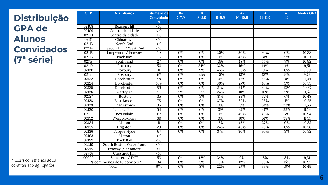**Distribuição GPA de Alunos Convidados (7ª série)**

| <b>CEP</b> | Vizinhança                      | Número de       | $B-$             | B         | $B+$             | $A-$        | $\mathbf{A}$ | $A+$ | <b>Média GPA</b> |
|------------|---------------------------------|-----------------|------------------|-----------|------------------|-------------|--------------|------|------------------|
|            |                                 | Convidado       | $7 - 7,9$        | $8 - 8.9$ | $9 - 9.9$        | $10 - 10.9$ | $11 - 11.9$  | 12   |                  |
|            |                                 | $\mathbf{s}$    |                  |           |                  |             |              |      |                  |
| 02108      | Beacon Hill                     | <10             |                  |           |                  |             |              |      |                  |
| 02109      | Centro da cidade                | <10             |                  |           |                  |             |              |      |                  |
| 02110      | Centro da cidade                | $\overline{10}$ |                  |           |                  |             |              |      |                  |
| 02111      | Chinatown                       | <10             |                  |           |                  |             |              |      |                  |
| 02113      | North End                       | $\overline{50}$ |                  |           |                  |             |              |      |                  |
| 02114      | Beacon Hill / West End          | <10             |                  |           |                  |             |              |      |                  |
| 02115      | Longwood / Fenway               | $\overline{10}$ | 0%               | 0%        | 20%              | 50%         | 30%          | 0%   | 10,38            |
| 02116      | Back Bay                        | 13              | 0%               | 0%        | 0%               | 46%         | 31%          | 23%  | 11,10            |
| 02118      | South End                       | $\overline{27}$ | 0%               | 0%        | 0%               | 48%         | 44%          | 7%   | 10,92            |
| 02119      | Roxbury                         | $\overline{50}$ | 0%               | 34%       | 32%              | 16%         | 14%          | 4%   | 9,51             |
| 02120      | Roxbury                         | $\overline{11}$ | 0%               | 9%        | 45%              | 36%         | 9%           | 0%   | 9,89             |
| 02121      | Roxbury                         | 67              | 0%               | 21%       | 40%              | 18%         | 12%          | 9%   | 9,79             |
| 02122      | Dorchester                      | 48              | 0%               | 0%        | 0%               | 42%         | 48%          | 10%  | 11,04            |
| 02124      | Dorchester                      | 109             | 0%               | 0%        | 30%              | 27%         | 40%          | 3%   | 10,53            |
| 02125      | Dorchester                      | 59              | 0%               | 0%        | 31%              | 24%         | 34%          | 12%  | 10,67            |
| 02126      | Mattapan                        | $\overline{51}$ | 2%               | 37%       | 24%              | 18%         | 18%          | 2%   | 9,57             |
| 02127      | Boston                          | $\overline{35}$ | $\overline{0\%}$ | 3%        | 31%              | 23%         | 37%          | 6%   | 10,48            |
| 02128      | East Boston                     | 75              | 0%               | 0%        | 37%              | 39%         | 23%          | 1%   | 10,25            |
| 02129      | Charlestown                     | 35              | 0%               | 0%        | $\overline{0\%}$ | 3%          | 74%          | 23%  | 11,56            |
| 02130      | Jamaica Plain                   | 54              | 0%               | 0%        | 0%               | 37%         | 41%          | 22%  | 11,19            |
| 02131      | Roslindale                      | 67              | 0%               | 0%        | 0%               | 49%         | 43%          | 7%   | 10,94            |
| 02132      | West Roxbury                    | 69              | 0%               | 0%        | 0%               | 10%         | 51%          | 39%  | 11,51            |
| 02134      | Allston                         | $\overline{11}$ | $\overline{0\%}$ | 9%        | 18%              | 45%         | 27%          | 0%   | 10,32            |
| 02135      | Brighton                        | 29              | 0%               | 0%        | 24%              | 48%         | 28%          | 0%   | 10,36            |
| 02136      | Parque Hyde                     | 67              | $\overline{0\%}$ | 0%        | 37%              | 30%         | 30%          | 3%   | 10,32            |
| 02163      | Allston                         | <10             |                  |           |                  |             |              |      |                  |
| 02199      | <b>Back Bay</b>                 | $\overline{40}$ |                  |           |                  |             |              |      |                  |
| 02210      | South Boston Waterfront         | <10             |                  |           |                  |             |              |      |                  |
| 02215      | Fenway / Kenmore                | $\overline{50}$ |                  |           |                  |             |              |      |                  |
| 02467      | Chestnut Hill                   | <10             |                  |           |                  |             |              |      |                  |
| 99999      | Sem-teto / DCF                  | $\overline{53}$ | 0%               | 42%       | 34%              | 9%          | 8%           | 8%   | 9,31             |
|            | CEPs com menos de 10 convites * | $\overline{34}$ | 0%               | 3%        | 18%              | 12%         | 53%          | 15%  | 10,92            |
|            | Total                           | 974             | 0%               | 8%        | 22%              | 27%         | 33%          | 10%  | 10,49            |